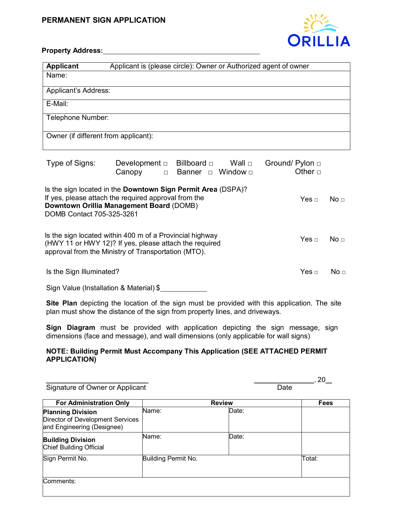### **PERMANENT SIGN APPLICATION**



### **Property Address:**

| <b>Applicant</b>                     | Applicant is (please circle): Owner or Authorized agent of owner |
|--------------------------------------|------------------------------------------------------------------|
| Name:                                |                                                                  |
| Applicant's Address:                 |                                                                  |
| E-Mail:                              |                                                                  |
| Telephone Number:                    |                                                                  |
| Owner (if different from applicant): |                                                                  |
|                                      |                                                                  |

| Type of Signs:                                                                                                                                                                                       | Development $\Box$<br>Canopy | Billboard $\Box$ Wall $\Box$<br>□ Banner □ Window □ | Ground/ Pylon $\Box$<br>Other $\Box$ |                 |
|------------------------------------------------------------------------------------------------------------------------------------------------------------------------------------------------------|------------------------------|-----------------------------------------------------|--------------------------------------|-----------------|
| Is the sign located in the <b>Downtown Sign Permit Area</b> (DSPA)?<br>If yes, please attach the required approval from the<br>Downtown Orillia Management Board (DOMB)<br>DOMB Contact 705-325-3261 |                              |                                                     | Yes $\sqcap$                         | No $\Box$       |
| Is the sign located within 400 m of a Provincial highway<br>(HWY 11 or HWY 12)? If yes, please attach the required<br>approval from the Ministry of Transportation (MTO).                            |                              |                                                     | Yes $\sqcap$                         | No $\sqcap$     |
| Is the Sign Illuminated?                                                                                                                                                                             |                              |                                                     | Yes $\sqcap$                         | No <del>⊓</del> |

Sign Value (Installation & Material) \$

**Site Plan** depicting the location of the sign must be provided with this application. The site plan must show the distance of the sign from property lines, and driveways.

**Sign Diagram** must be provided with application depicting the sign message, sign dimensions (face and message), and wall dimensions (only applicable for wall signs)

#### **NOTE: Building Permit Must Accompany This Application (SEE ATTACHED PERMIT APPLICATION)**

Signature of Owner or Applicant Date Date Controller and Date Date

| <b>For Administration Only</b>                                                             | <b>Review</b>       |       | <b>Fees</b> |
|--------------------------------------------------------------------------------------------|---------------------|-------|-------------|
| <b>Planning Division</b><br>Director of Development Services<br>and Engineering (Designee) | Name:               | Date: |             |
| <b>Building Division</b><br>Chief Building Official                                        | Name:               | Date: |             |
| Sign Permit No.                                                                            | Building Permit No. |       | Total:      |
| Comments:                                                                                  |                     |       |             |

\_\_\_\_\_\_\_\_\_\_\_\_\_\_\_\_\_\_\_\_\_\_\_\_\_\_\_\_\_ \_\_\_\_\_\_\_\_\_\_\_\_\_\_\_\_\_, 20\_\_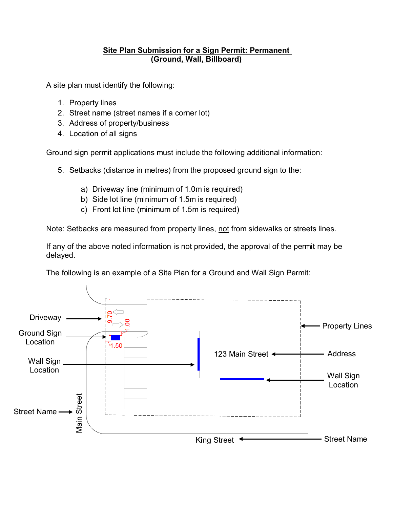## **Site Plan Submission for a Sign Permit: Permanent (Ground, Wall, Billboard)**

A site plan must identify the following:

- 1. Property lines
- 2. Street name (street names if a corner lot)
- 3. Address of property/business
- 4. Location of all signs

Ground sign permit applications must include the following additional information:

- 5. Setbacks (distance in metres) from the proposed ground sign to the:
	- a) Driveway line (minimum of 1.0m is required)
	- b) Side lot line (minimum of 1.5m is required)
	- c) Front lot line (minimum of 1.5m is required)

Note: Setbacks are measured from property lines, not from sidewalks or streets lines.

If any of the above noted information is not provided, the approval of the permit may be delayed.

The following is an example of a Site Plan for a Ground and Wall Sign Permit:

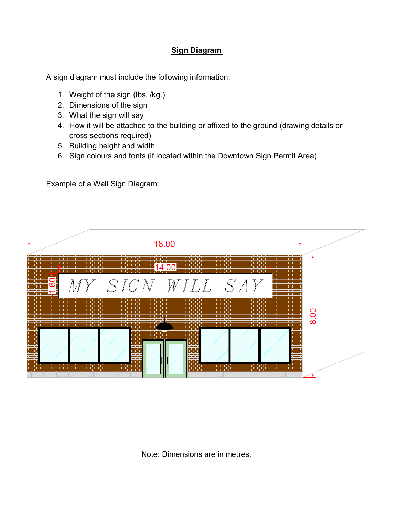## **Sign Diagram**

A sign diagram must include the following information:

- 1. Weight of the sign (lbs. /kg.)
- 2. Dimensions of the sign
- 3. What the sign will say
- 4. How it will be attached to the building or affixed to the ground (drawing details or cross sections required)
- 5. Building height and width
- 6. Sign colours and fonts (if located within the Downtown Sign Permit Area)

Example of a Wall Sign Diagram:



Note: Dimensions are in metres.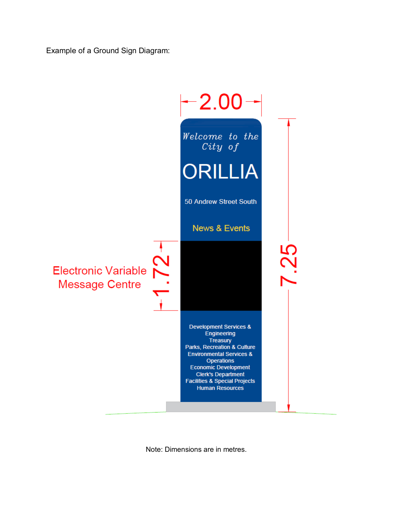Example of a Ground Sign Diagram:



Note: Dimensions are in metres.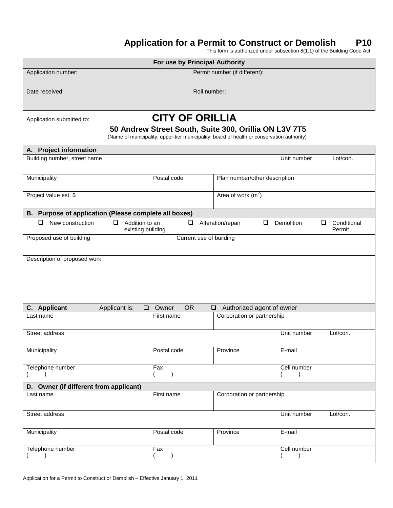# **Application for a Permit to Construct or Demolish P10**

This form is authorized under subsection 8(1.1) of the Building Code Act.

| For use by Principal Authority |                               |  |  |  |
|--------------------------------|-------------------------------|--|--|--|
| Application number:            | Permit number (if different): |  |  |  |
| Date received:                 | Roll number:                  |  |  |  |

# Application submitted to: **CITY OF ORILLIA**

### **50 Andrew Street South, Suite 300, Orillia ON L3V 7T5**

(Name of municipality, upper-tier municipality, board of health or conservation authority)

| A. Project information                                                      |                                  |                         |                                     |               |                                 |
|-----------------------------------------------------------------------------|----------------------------------|-------------------------|-------------------------------------|---------------|---------------------------------|
| Building number, street name                                                |                                  |                         |                                     | Unit number   | Lot/con.                        |
|                                                                             |                                  |                         |                                     |               |                                 |
| Municipality                                                                | Postal code                      |                         | Plan number/other description       |               |                                 |
|                                                                             |                                  |                         |                                     |               |                                 |
| Project value est. \$                                                       |                                  |                         | Area of work $(m^2)$                |               |                                 |
|                                                                             |                                  |                         |                                     |               |                                 |
| B. Purpose of application (Please complete all boxes)                       |                                  |                         |                                     |               |                                 |
| $\Box$<br>Addition to an<br>New construction<br>$\Box$<br>existing building |                                  | $\Box$                  | Alteration/repair<br>$\Box$         | Demolition    | Conditional<br>$\Box$<br>Permit |
| Proposed use of building                                                    |                                  | Current use of building |                                     |               |                                 |
|                                                                             |                                  |                         |                                     |               |                                 |
| Description of proposed work                                                |                                  |                         |                                     |               |                                 |
|                                                                             |                                  |                         |                                     |               |                                 |
|                                                                             |                                  |                         |                                     |               |                                 |
|                                                                             |                                  |                         |                                     |               |                                 |
|                                                                             |                                  |                         |                                     |               |                                 |
| C. Applicant<br>Applicant is:<br>$\Box$                                     | Owner                            | <b>OR</b>               | Authorized agent of owner<br>$\Box$ |               |                                 |
| Last name                                                                   | First name                       |                         | Corporation or partnership          |               |                                 |
|                                                                             |                                  |                         |                                     |               |                                 |
| Street address                                                              |                                  |                         |                                     | Unit number   | Lot/con.                        |
|                                                                             |                                  |                         |                                     |               |                                 |
| Municipality                                                                | Postal code                      |                         | Province                            | E-mail        |                                 |
|                                                                             |                                  |                         |                                     |               |                                 |
| Telephone number<br>$\lambda$                                               | Fax<br>$\mathcal{E}$<br>$\left($ |                         |                                     | Cell number   |                                 |
|                                                                             |                                  |                         |                                     |               |                                 |
| D. Owner (if different from applicant)<br>Last name                         | First name                       |                         |                                     |               |                                 |
|                                                                             |                                  |                         | Corporation or partnership          |               |                                 |
|                                                                             |                                  |                         |                                     |               |                                 |
| Street address                                                              |                                  |                         |                                     | Unit number   | Lot/con.                        |
|                                                                             | Postal code                      |                         | Province                            | E-mail        |                                 |
| Municipality                                                                |                                  |                         |                                     |               |                                 |
| Telephone number                                                            | Fax                              |                         |                                     | Cell number   |                                 |
| $\lambda$                                                                   | $\mathcal{E}$                    |                         |                                     | $\mathcal{E}$ |                                 |
|                                                                             |                                  |                         |                                     |               |                                 |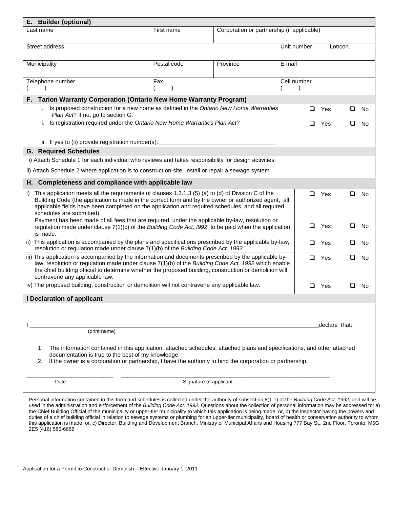| <b>Builder (optional)</b><br>Е.                                                                                                                                                                                                                                                                                                                            |                        |                                            |             |               |          |           |
|------------------------------------------------------------------------------------------------------------------------------------------------------------------------------------------------------------------------------------------------------------------------------------------------------------------------------------------------------------|------------------------|--------------------------------------------|-------------|---------------|----------|-----------|
| Last name                                                                                                                                                                                                                                                                                                                                                  | First name             | Corporation or partnership (if applicable) |             |               |          |           |
| Street address                                                                                                                                                                                                                                                                                                                                             |                        |                                            | Unit number | Lot/con.      |          |           |
| Municipality                                                                                                                                                                                                                                                                                                                                               | Postal code            | Province                                   | E-mail      |               |          |           |
| Telephone number                                                                                                                                                                                                                                                                                                                                           | Fax                    |                                            | Cell number |               |          |           |
| Tarion Warranty Corporation (Ontario New Home Warranty Program)<br>F.                                                                                                                                                                                                                                                                                      |                        |                                            |             |               |          |           |
| Is proposed construction for a new home as defined in the Ontario New Home Warranties<br>i.<br>Plan Act? If no, go to section G.                                                                                                                                                                                                                           |                        |                                            | ◻           | Yes           | <b>□</b> | No.       |
| ii. Is registration required under the Ontario New Home Warranties Plan Act?                                                                                                                                                                                                                                                                               |                        |                                            | ⊔           | Yes           | ப        | No.       |
| iii. If yes to (ii) provide registration number(s): _____________________________                                                                                                                                                                                                                                                                          |                        |                                            |             |               |          |           |
| <b>G. Required Schedules</b>                                                                                                                                                                                                                                                                                                                               |                        |                                            |             |               |          |           |
| i) Attach Schedule 1 for each individual who reviews and takes responsibility for design activities.                                                                                                                                                                                                                                                       |                        |                                            |             |               |          |           |
| ii) Attach Schedule 2 where application is to construct on-site, install or repair a sewage system.                                                                                                                                                                                                                                                        |                        |                                            |             |               |          |           |
| H. Completeness and compliance with applicable law                                                                                                                                                                                                                                                                                                         |                        |                                            |             |               |          |           |
| This application meets all the requirements of clauses 1.3.1.3 (5) (a) to (d) of Division C of the<br>i)<br>Building Code (the application is made in the correct form and by the owner or authorized agent, all<br>applicable fields have been completed on the application and required schedules, and all required<br>schedules are submitted).         |                        |                                            |             | $\Box$ Yes    | $\Box$   | <b>No</b> |
| Payment has been made of all fees that are required, under the applicable by-law, resolution or<br>regulation made under clause $7(1)(c)$ of the Building Code Act, 1992, to be paid when the application<br>is made.                                                                                                                                      |                        |                                            | ❏           | Yes           | ப        | No        |
| This application is accompanied by the plans and specifications prescribed by the applicable by-law,<br>ii)<br>◻<br>resolution or regulation made under clause 7(1)(b) of the Building Code Act, 1992.                                                                                                                                                     |                        |                                            |             | Yes           | ப        | No        |
| iii) This application is accompanied by the information and documents prescribed by the applicable by-<br>law, resolution or regulation made under clause 7(1)(b) of the Building Code Act, 1992 which enable<br>the chief building official to determine whether the proposed building, construction or demolition will<br>contravene any applicable law. |                        |                                            | □           | Yes           | ப        | No        |
| iv) The proposed building, construction or demolition will not contravene any applicable law.                                                                                                                                                                                                                                                              |                        |                                            | ❏           | Yes           | ⊔        | No.       |
| I Declaration of applicant                                                                                                                                                                                                                                                                                                                                 |                        |                                            |             |               |          |           |
|                                                                                                                                                                                                                                                                                                                                                            |                        |                                            |             | declare that: |          |           |
| (print name)                                                                                                                                                                                                                                                                                                                                               |                        |                                            |             |               |          |           |
| The information contained in this application, attached schedules, attached plans and specifications, and other attached<br>1.<br>documentation is true to the best of my knowledge.<br>If the owner is a corporation or partnership, I have the authority to bind the corporation or partnership.<br>2.                                                   |                        |                                            |             |               |          |           |
| Date                                                                                                                                                                                                                                                                                                                                                       | Signature of applicant |                                            |             |               |          |           |

Personal information contained in this form and schedules is collected under the authority of subsection 8(1.1) of the *Building Code Act, 1992*, and will be used in the administration and enforcement of the *Building Code Act, 1992*. Questions about the collection of personal information may be addressed to: a) the Chief Building Official of the municipality or upper-tier municipality to which this application is being made, or, b) the inspector having the powers and duties of a chief building official in relation to sewage systems or plumbing for an upper-tier municipality, board of health or conservation authority to whom this application is made, or, c) Director, Building and Development Branch, Ministry of Municipal Affairs and Housing 777 Bay St., 2nd Floor. Toronto, M5G 2E5 (416) 585-6666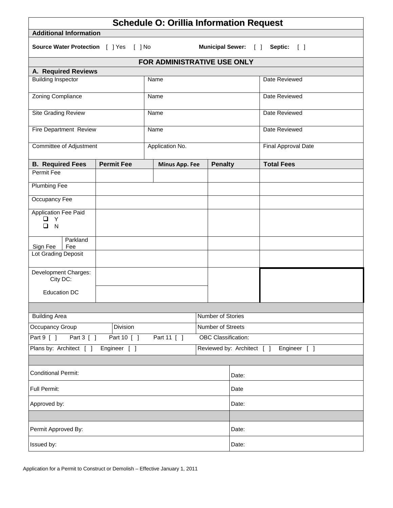| <b>Schedule O: Orillia Information Request</b>                                       |                   |                             |                            |              |                     |
|--------------------------------------------------------------------------------------|-------------------|-----------------------------|----------------------------|--------------|---------------------|
| <b>Additional Information</b>                                                        |                   |                             |                            |              |                     |
| <b>Source Water Protection</b> [ ] Yes [ ] No<br>Municipal Sewer: [ ]<br>Septic: [ ] |                   |                             |                            |              |                     |
|                                                                                      |                   | FOR ADMINISTRATIVE USE ONLY |                            |              |                     |
| A. Required Reviews                                                                  |                   |                             |                            |              |                     |
| <b>Building Inspector</b>                                                            |                   | Name                        |                            |              | Date Reviewed       |
| <b>Zoning Compliance</b>                                                             |                   | Name                        |                            |              | Date Reviewed       |
| <b>Site Grading Review</b>                                                           |                   | Name                        |                            |              | Date Reviewed       |
| Fire Department Review                                                               |                   | Name                        |                            |              | Date Reviewed       |
| <b>Committee of Adjustment</b>                                                       |                   | Application No.             |                            |              | Final Approval Date |
| <b>B. Required Fees</b>                                                              | <b>Permit Fee</b> | Minus App. Fee              | <b>Penalty</b>             |              | <b>Total Fees</b>   |
| Permit Fee                                                                           |                   |                             |                            |              |                     |
| <b>Plumbing Fee</b>                                                                  |                   |                             |                            |              |                     |
| Occupancy Fee                                                                        |                   |                             |                            |              |                     |
| <b>Application Fee Paid</b><br>$\Box$ Y<br>$\Box$<br>N                               |                   |                             |                            |              |                     |
| Parkland<br>Sign Fee<br>Fee                                                          |                   |                             |                            |              |                     |
| Lot Grading Deposit                                                                  |                   |                             |                            |              |                     |
| Development Charges:<br>City DC:                                                     |                   |                             |                            |              |                     |
| <b>Education DC</b>                                                                  |                   |                             |                            |              |                     |
|                                                                                      |                   |                             |                            |              |                     |
| <b>Building Area</b>                                                                 |                   |                             | Number of Stories          |              |                     |
| Occupancy Group<br>Division                                                          |                   |                             | Number of Streets          |              |                     |
| Part 9 [ ]<br>Part 11 [ ]<br>Part 3 [ ]<br>Part 10 [ ]                               |                   |                             | <b>OBC</b> Classification: |              |                     |
| Plans by: Architect [ ]<br>Engineer [ ]                                              |                   |                             | Reviewed by: Architect [ ] | Engineer [ ] |                     |
|                                                                                      |                   |                             |                            |              |                     |
| <b>Conditional Permit:</b>                                                           |                   |                             |                            | Date:        |                     |
| Full Permit:                                                                         |                   |                             |                            | Date         |                     |
| Approved by:                                                                         |                   |                             | Date:                      |              |                     |
|                                                                                      |                   |                             |                            |              |                     |
| Permit Approved By:                                                                  |                   |                             |                            | Date:        |                     |
| Issued by:                                                                           |                   |                             | Date:                      |              |                     |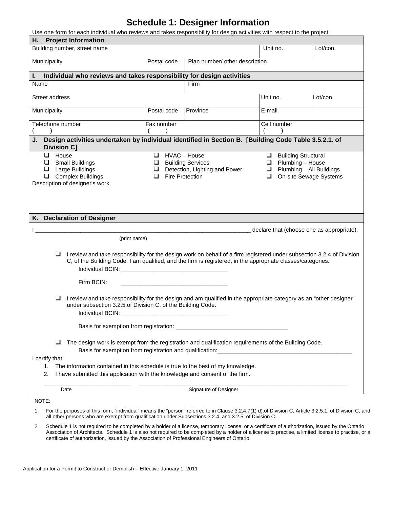# **Schedule 1: Designer Information**

Use one form for each individual who reviews and takes responsibility for design activities with respect to the project.

| <b>Project Information</b><br>Н.                                                                                                                                                                                                                                                                                                                                                                                                                    |                                                     |                                                                  |                                                                    |                                                    |
|-----------------------------------------------------------------------------------------------------------------------------------------------------------------------------------------------------------------------------------------------------------------------------------------------------------------------------------------------------------------------------------------------------------------------------------------------------|-----------------------------------------------------|------------------------------------------------------------------|--------------------------------------------------------------------|----------------------------------------------------|
| Building number, street name                                                                                                                                                                                                                                                                                                                                                                                                                        |                                                     |                                                                  | Unit no.                                                           | Lot/con.                                           |
| Municipality                                                                                                                                                                                                                                                                                                                                                                                                                                        | Postal code                                         | Plan number/ other description                                   |                                                                    |                                                    |
| Individual who reviews and takes responsibility for design activities<br>L.                                                                                                                                                                                                                                                                                                                                                                         |                                                     |                                                                  |                                                                    |                                                    |
| Name                                                                                                                                                                                                                                                                                                                                                                                                                                                |                                                     | Firm                                                             |                                                                    |                                                    |
| Street address                                                                                                                                                                                                                                                                                                                                                                                                                                      |                                                     |                                                                  | Unit no.                                                           | Lot/con.                                           |
| Municipality                                                                                                                                                                                                                                                                                                                                                                                                                                        | Postal code                                         | Province                                                         | $\overline{E}$ -mail                                               |                                                    |
| Telephone number                                                                                                                                                                                                                                                                                                                                                                                                                                    | Fax number                                          |                                                                  | Cell number                                                        |                                                    |
| Design activities undertaken by individual identified in Section B. [Building Code Table 3.5.2.1. of<br>J.<br><b>Division C]</b>                                                                                                                                                                                                                                                                                                                    |                                                     |                                                                  |                                                                    |                                                    |
| House<br><b>Small Buildings</b><br>⊔<br>Large Buildings<br>$\Box$<br>$\Box$ Complex Buildings<br>Description of designer's work                                                                                                                                                                                                                                                                                                                     | $\Box$ HVAC - House<br>u.<br>$\Box$ Fire Protection | <b>Building Services</b><br>$\Box$ Detection, Lighting and Power | <b>Building Structural</b><br>□<br>Plumbing - House<br>□<br>⊔<br>❏ | Plumbing - All Buildings<br>On-site Sewage Systems |
| K. Declaration of Designer                                                                                                                                                                                                                                                                                                                                                                                                                          |                                                     |                                                                  |                                                                    |                                                    |
| (print name)                                                                                                                                                                                                                                                                                                                                                                                                                                        |                                                     |                                                                  |                                                                    | declare that (choose one as appropriate):          |
| I review and take responsibility for the design work on behalf of a firm registered under subsection 3.2.4.of Division<br>□<br>C, of the Building Code. I am qualified, and the firm is registered, in the appropriate classes/categories.<br>Firm BCIN:<br>I review and take responsibility for the design and am qualified in the appropriate category as an "other designer"<br>u<br>under subsection 3.2.5.of Division C, of the Building Code. |                                                     |                                                                  |                                                                    |                                                    |
| Basis for exemption from registration: _____<br>The design work is exempt from the registration and qualification requirements of the Building Code.<br>⊔                                                                                                                                                                                                                                                                                           |                                                     |                                                                  |                                                                    |                                                    |
| I certify that:<br>The information contained in this schedule is true to the best of my knowledge.<br>1.<br>I have submitted this application with the knowledge and consent of the firm.<br>2.                                                                                                                                                                                                                                                     |                                                     |                                                                  |                                                                    |                                                    |
| Date                                                                                                                                                                                                                                                                                                                                                                                                                                                |                                                     | Signature of Designer                                            |                                                                    |                                                    |
| NOTE:                                                                                                                                                                                                                                                                                                                                                                                                                                               |                                                     |                                                                  |                                                                    |                                                    |

- 1. For the purposes of this form, "individual" means the "person" referred to in Clause 3.2.4.7(1) d).of Division C, Article 3.2.5.1. of Division C, and all other persons who are exempt from qualification under Subsections 3.2.4. and 3.2.5. of Division C.
- 2. Schedule 1 is not required to be completed by a holder of a license, temporary license, or a certificate of authorization, issued by the Ontario Association of Architects. Schedule 1 is also not required to be completed by a holder of a license to practise, a limited license to practise, or a certificate of authorization, issued by the Association of Professional Engineers of Ontario.